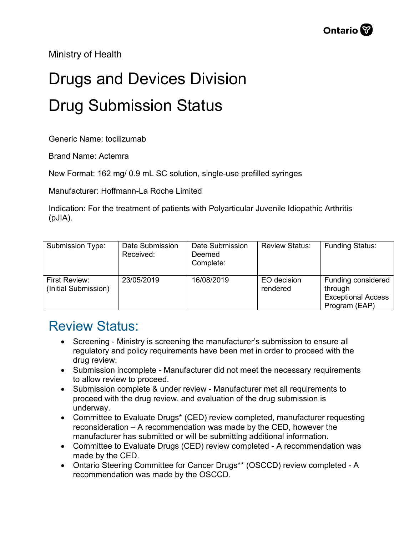Ministry of Health

## Drugs and Devices Division Drug Submission Status

Generic Name: tocilizumab

Brand Name: Actemra

New Format: 162 mg/ 0.9 mL SC solution, single-use prefilled syringes

Manufacturer: Hoffmann-La Roche Limited

Indication: For the treatment of patients with Polyarticular Juvenile Idiopathic Arthritis (pJIA).

| Submission Type:                      | Date Submission<br>Received: | Date Submission<br>Deemed<br>Complete: | <b>Review Status:</b>   | <b>Funding Status:</b>                                                      |
|---------------------------------------|------------------------------|----------------------------------------|-------------------------|-----------------------------------------------------------------------------|
| First Review:<br>(Initial Submission) | 23/05/2019                   | 16/08/2019                             | EO decision<br>rendered | Funding considered<br>through<br><b>Exceptional Access</b><br>Program (EAP) |

## Review Status:

- Screening Ministry is screening the manufacturer's submission to ensure all regulatory and policy requirements have been met in order to proceed with the drug review.
- Submission incomplete Manufacturer did not meet the necessary requirements to allow review to proceed.
- Submission complete & under review Manufacturer met all requirements to proceed with the drug review, and evaluation of the drug submission is underway.
- Committee to Evaluate Drugs\* (CED) review completed, manufacturer requesting reconsideration – A recommendation was made by the CED, however the manufacturer has submitted or will be submitting additional information.
- Committee to Evaluate Drugs (CED) review completed A recommendation was made by the CED.
- Ontario Steering Committee for Cancer Drugs\*\* (OSCCD) review completed A recommendation was made by the OSCCD.